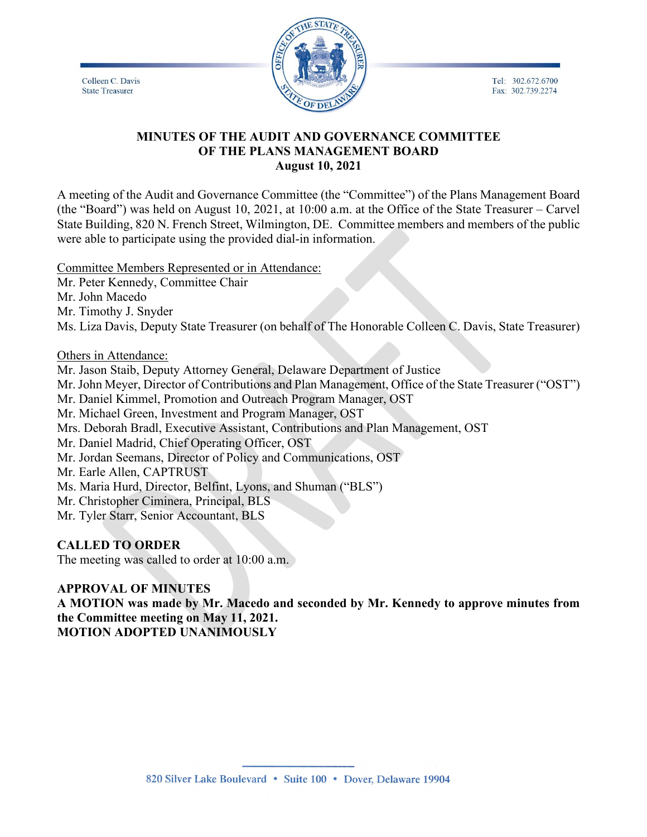Tel: 302.672.6700 Fax: 302.739.2274

Colleen C. Davis **State Treasurer** 



### **MINUTES OF THE AUDIT AND GOVERNANCE COMMITTEE OF THE PLANS MANAGEMENT BOARD August 10, 2021**

A meeting of the Audit and Governance Committee (the "Committee") of the Plans Management Board (the "Board") was held on August 10, 2021, at 10:00 a.m. at the Office of the State Treasurer – Carvel State Building, 820 N. French Street, Wilmington, DE. Committee members and members of the public were able to participate using the provided dial-in information.

Committee Members Represented or in Attendance:

Mr. Peter Kennedy, Committee Chair

Mr. John Macedo

Mr. Timothy J. Snyder

Ms. Liza Davis, Deputy State Treasurer (on behalf of The Honorable Colleen C. Davis, State Treasurer)

Others in Attendance:

Mr. Jason Staib, Deputy Attorney General, Delaware Department of Justice Mr. John Meyer, Director of Contributions and Plan Management, Office of the State Treasurer ("OST") Mr. Daniel Kimmel, Promotion and Outreach Program Manager, OST Mr. Michael Green, Investment and Program Manager, OST Mrs. Deborah Bradl, Executive Assistant, Contributions and Plan Management, OST Mr. Daniel Madrid, Chief Operating Officer, OST Mr. Jordan Seemans, Director of Policy and Communications, OST Mr. Earle Allen, CAPTRUST Ms. Maria Hurd, Director, Belfint, Lyons, and Shuman ("BLS") Mr. Christopher Ciminera, Principal, BLS Mr. Tyler Starr, Senior Accountant, BLS

### **CALLED TO ORDER**

The meeting was called to order at 10:00 a.m.

# **APPROVAL OF MINUTES**

**A MOTION was made by Mr. Macedo and seconded by Mr. Kennedy to approve minutes from the Committee meeting on May 11, 2021. MOTION ADOPTED UNANIMOUSLY**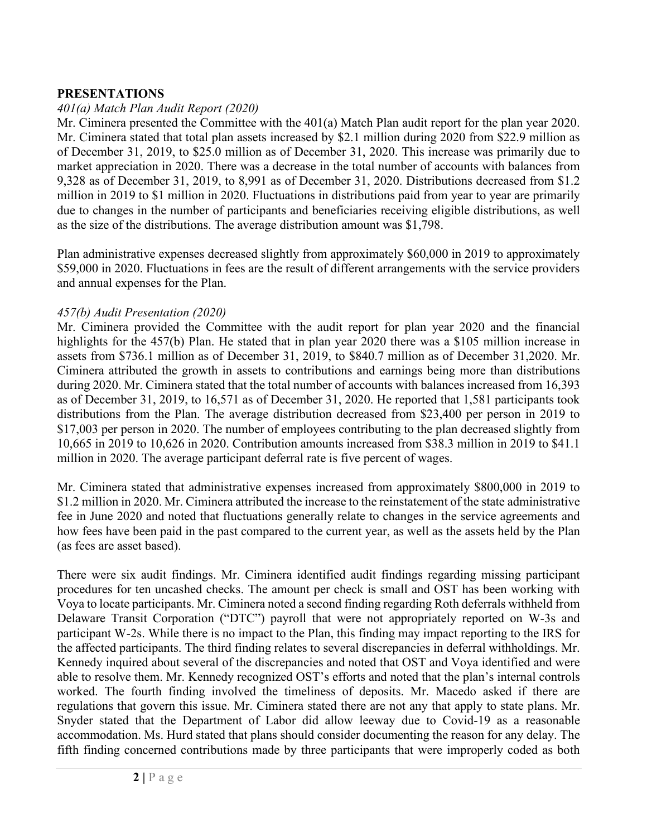## **PRESENTATIONS**

## *401(a) Match Plan Audit Report (2020)*

Mr. Ciminera presented the Committee with the 401(a) Match Plan audit report for the plan year 2020. Mr. Ciminera stated that total plan assets increased by \$2.1 million during 2020 from \$22.9 million as of December 31, 2019, to \$25.0 million as of December 31, 2020. This increase was primarily due to market appreciation in 2020. There was a decrease in the total number of accounts with balances from 9,328 as of December 31, 2019, to 8,991 as of December 31, 2020. Distributions decreased from \$1.2 million in 2019 to \$1 million in 2020. Fluctuations in distributions paid from year to year are primarily due to changes in the number of participants and beneficiaries receiving eligible distributions, as well as the size of the distributions. The average distribution amount was \$1,798.

Plan administrative expenses decreased slightly from approximately \$60,000 in 2019 to approximately \$59,000 in 2020. Fluctuations in fees are the result of different arrangements with the service providers and annual expenses for the Plan.

### *457(b) Audit Presentation (2020)*

Mr. Ciminera provided the Committee with the audit report for plan year 2020 and the financial highlights for the 457(b) Plan. He stated that in plan year 2020 there was a \$105 million increase in assets from \$736.1 million as of December 31, 2019, to \$840.7 million as of December 31,2020. Mr. Ciminera attributed the growth in assets to contributions and earnings being more than distributions during 2020. Mr. Ciminera stated that the total number of accounts with balances increased from 16,393 as of December 31, 2019, to 16,571 as of December 31, 2020. He reported that 1,581 participants took distributions from the Plan. The average distribution decreased from \$23,400 per person in 2019 to \$17,003 per person in 2020. The number of employees contributing to the plan decreased slightly from 10,665 in 2019 to 10,626 in 2020. Contribution amounts increased from \$38.3 million in 2019 to \$41.1 million in 2020. The average participant deferral rate is five percent of wages.

Mr. Ciminera stated that administrative expenses increased from approximately \$800,000 in 2019 to \$1.2 million in 2020. Mr. Ciminera attributed the increase to the reinstatement of the state administrative fee in June 2020 and noted that fluctuations generally relate to changes in the service agreements and how fees have been paid in the past compared to the current year, as well as the assets held by the Plan (as fees are asset based).

There were six audit findings. Mr. Ciminera identified audit findings regarding missing participant procedures for ten uncashed checks. The amount per check is small and OST has been working with Voya to locate participants. Mr. Ciminera noted a second finding regarding Roth deferrals withheld from Delaware Transit Corporation ("DTC") payroll that were not appropriately reported on W-3s and participant W-2s. While there is no impact to the Plan, this finding may impact reporting to the IRS for the affected participants. The third finding relates to several discrepancies in deferral withholdings. Mr. Kennedy inquired about several of the discrepancies and noted that OST and Voya identified and were able to resolve them. Mr. Kennedy recognized OST's efforts and noted that the plan's internal controls worked. The fourth finding involved the timeliness of deposits. Mr. Macedo asked if there are regulations that govern this issue. Mr. Ciminera stated there are not any that apply to state plans. Mr. Snyder stated that the Department of Labor did allow leeway due to Covid-19 as a reasonable accommodation. Ms. Hurd stated that plans should consider documenting the reason for any delay. The fifth finding concerned contributions made by three participants that were improperly coded as both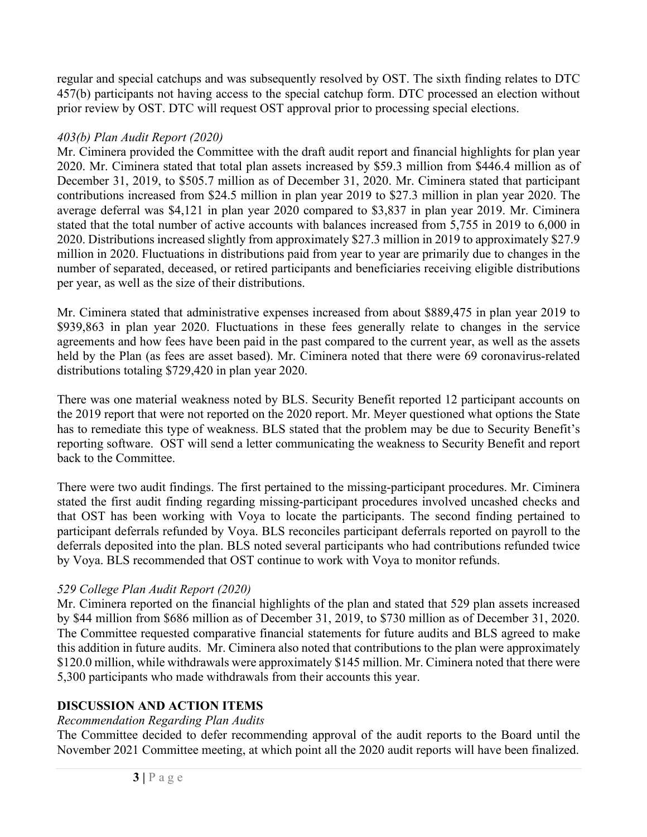regular and special catchups and was subsequently resolved by OST. The sixth finding relates to DTC 457(b) participants not having access to the special catchup form. DTC processed an election without prior review by OST. DTC will request OST approval prior to processing special elections.

## *403(b) Plan Audit Report (2020)*

Mr. Ciminera provided the Committee with the draft audit report and financial highlights for plan year 2020. Mr. Ciminera stated that total plan assets increased by \$59.3 million from \$446.4 million as of December 31, 2019, to \$505.7 million as of December 31, 2020. Mr. Ciminera stated that participant contributions increased from \$24.5 million in plan year 2019 to \$27.3 million in plan year 2020. The average deferral was \$4,121 in plan year 2020 compared to \$3,837 in plan year 2019. Mr. Ciminera stated that the total number of active accounts with balances increased from 5,755 in 2019 to 6,000 in 2020. Distributions increased slightly from approximately \$27.3 million in 2019 to approximately \$27.9 million in 2020. Fluctuations in distributions paid from year to year are primarily due to changes in the number of separated, deceased, or retired participants and beneficiaries receiving eligible distributions per year, as well as the size of their distributions.

Mr. Ciminera stated that administrative expenses increased from about \$889,475 in plan year 2019 to \$939,863 in plan year 2020. Fluctuations in these fees generally relate to changes in the service agreements and how fees have been paid in the past compared to the current year, as well as the assets held by the Plan (as fees are asset based). Mr. Ciminera noted that there were 69 coronavirus-related distributions totaling \$729,420 in plan year 2020.

There was one material weakness noted by BLS. Security Benefit reported 12 participant accounts on the 2019 report that were not reported on the 2020 report. Mr. Meyer questioned what options the State has to remediate this type of weakness. BLS stated that the problem may be due to Security Benefit's reporting software. OST will send a letter communicating the weakness to Security Benefit and report back to the Committee.

There were two audit findings. The first pertained to the missing-participant procedures. Mr. Ciminera stated the first audit finding regarding missing-participant procedures involved uncashed checks and that OST has been working with Voya to locate the participants. The second finding pertained to participant deferrals refunded by Voya. BLS reconciles participant deferrals reported on payroll to the deferrals deposited into the plan. BLS noted several participants who had contributions refunded twice by Voya. BLS recommended that OST continue to work with Voya to monitor refunds.

# *529 College Plan Audit Report (2020)*

Mr. Ciminera reported on the financial highlights of the plan and stated that 529 plan assets increased by \$44 million from \$686 million as of December 31, 2019, to \$730 million as of December 31, 2020. The Committee requested comparative financial statements for future audits and BLS agreed to make this addition in future audits. Mr. Ciminera also noted that contributions to the plan were approximately \$120.0 million, while withdrawals were approximately \$145 million. Mr. Ciminera noted that there were 5,300 participants who made withdrawals from their accounts this year.

# **DISCUSSION AND ACTION ITEMS**

# *Recommendation Regarding Plan Audits*

The Committee decided to defer recommending approval of the audit reports to the Board until the November 2021 Committee meeting, at which point all the 2020 audit reports will have been finalized.